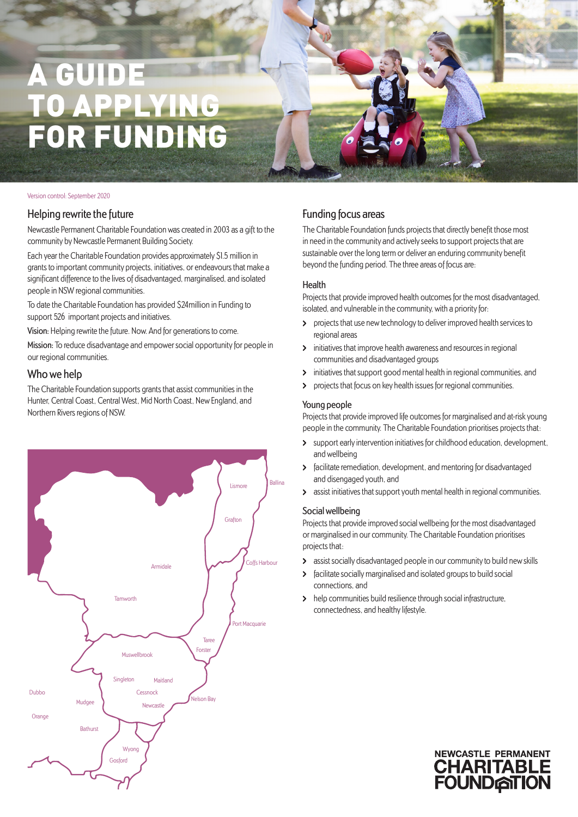# A GUIDE O APPLYIN FOR FUNDING

#### Version control: September 2020

#### Helping rewrite the future

Newcastle Permanent Charitable Foundation was created in 2003 as a gift to the community by Newcastle Permanent Building Society.

Each year the Charitable Foundation provides approximately \$1.5 million in grants to important community projects, initiatives, or endeavours that make a significant difference to the lives of disadvantaged, marginalised, and isolated people in NSW regional communities.

To date the Charitable Foundation has provided \$24million in Funding to support 526 important projects and initiatives.

Vision: Helping rewrite the future. Now. And for generations to come.

Mission: To reduce disadvantage and empower social opportunity for people in our regional communities.

#### Who we help

The Charitable Foundation supports grants that assist communities in the Hunter, Central Coast, Central West, Mid North Coast, New England, and Northern Rivers regions of NSW.



#### Funding focus areas

The Charitable Foundation funds projects that directly benefit those most in need in the community and actively seeks to support projects that are sustainable over the long term or deliver an enduring community benefit beyond the funding period. The three areas of focus are:

#### Health

Projects that provide improved health outcomes for the most disadvantaged, isolated, and vulnerable in the community, with a priority for:

- projects that use new technology to deliver improved health services to regional areas
- $\overline{\phantom{0}}$ initiatives that improve health awareness and resources in regional communities and disadvantaged groups
- initiatives that support good mental health in regional communities, and  $\lambda$
- **>** projects that focus on key health issues for regional communities.

#### Young people

Projects that provide improved life outcomes for marginalised and at-risk young people in the community. The Charitable Foundation prioritises projects that:

- > support early intervention initiatives for childhood education, development, and wellbeing
- facilitate remediation, development, and mentoring for disadvantaged  $\blacktriangleright$ and disengaged youth, and
- assist initiatives that support youth mental health in regional communities.  $\mathbf{v}$

#### Social wellbeing

Projects that provide improved social wellbeing for the most disadvantaged or marginalised in our community. The Charitable Foundation prioritises projects that:

- assist socially disadvantaged people in our community to build new skills
- facilitate socially marginalised and isolated groups to build social  $\mathbf{\Sigma}$ connections, and
- help communities build resilience through social infrastructure,  $\overline{\phantom{0}}$ connectedness, and healthy lifestyle.